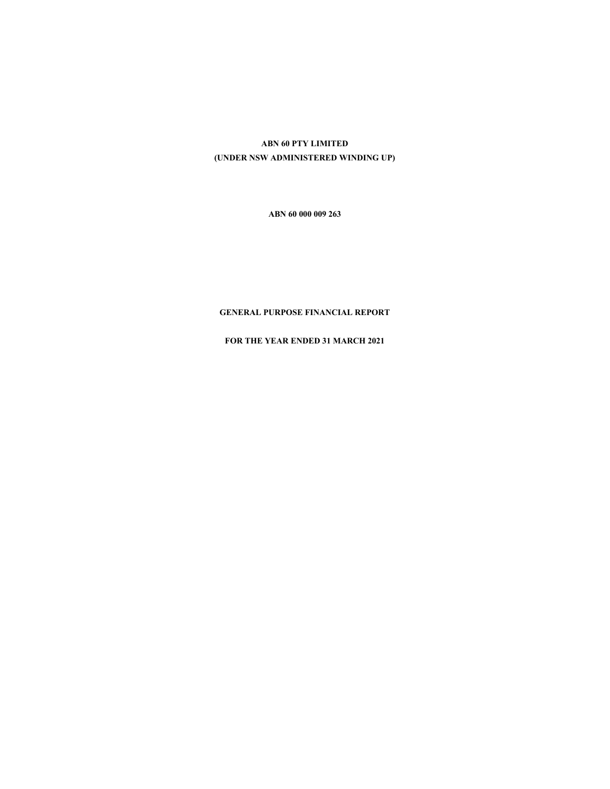# **ABN 60 PTY LIMITED (UNDER NSW ADMINISTERED WINDING UP)**

**ABN 60 000 009 263** 

## **GENERAL PURPOSE FINANCIAL REPORT**

**FOR THE YEAR ENDED 31 MARCH 2021**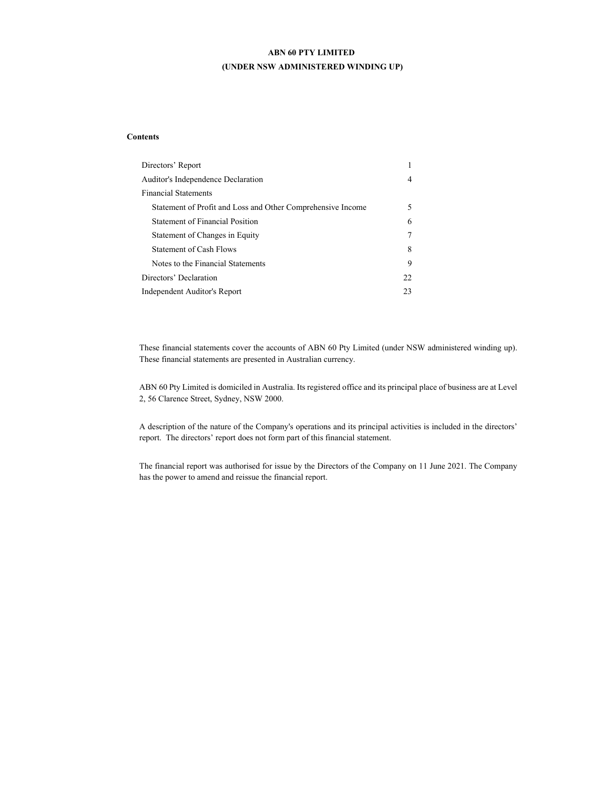## **ABN 60 PTY LIMITED (UNDER NSW ADMINISTERED WINDING UP)**

## **Contents**

| Directors' Report                                           |    |
|-------------------------------------------------------------|----|
| Auditor's Independence Declaration                          | 4  |
| <b>Financial Statements</b>                                 |    |
| Statement of Profit and Loss and Other Comprehensive Income |    |
| <b>Statement of Financial Position</b>                      | 6  |
| Statement of Changes in Equity                              |    |
| <b>Statement of Cash Flows</b>                              | 8  |
| Notes to the Financial Statements                           | 9  |
| Directors' Declaration                                      | 22 |
| Independent Auditor's Report                                | 23 |

These financial statements cover the accounts of ABN 60 Pty Limited (under NSW administered winding up). These financial statements are presented in Australian currency.

ABN 60 Pty Limited is domiciled in Australia. Its registered office and its principal place of business are at Level 2, 56 Clarence Street, Sydney, NSW 2000.

A description of the nature of the Company's operations and its principal activities is included in the directors' report. The directors' report does not form part of this financial statement.

The financial report was authorised for issue by the Directors of the Company on 11 June 2021. The Company has the power to amend and reissue the financial report.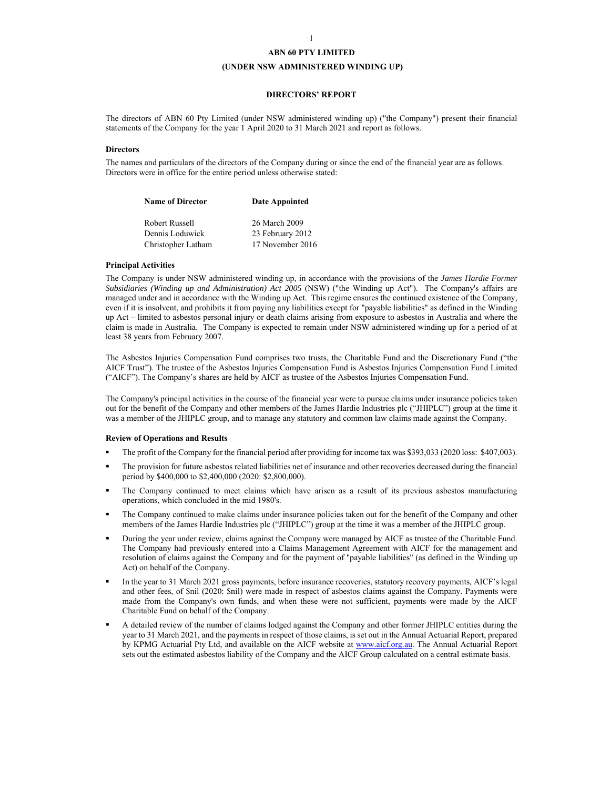### **(UNDER NSW ADMINISTERED WINDING UP)**

## **DIRECTORS' REPORT**

The directors of ABN 60 Pty Limited (under NSW administered winding up) ("the Company") present their financial statements of the Company for the year 1 April 2020 to 31 March 2021 and report as follows.

#### **Directors**

The names and particulars of the directors of the Company during or since the end of the financial year are as follows. Directors were in office for the entire period unless otherwise stated:

| <b>Name of Director</b> | Date Appointed   |
|-------------------------|------------------|
| Robert Russell          | 26 March 2009    |
| Dennis Loduwick         | 23 February 2012 |
| Christopher Latham      | 17 November 2016 |

#### **Principal Activities**

The Company is under NSW administered winding up, in accordance with the provisions of the *James Hardie Former Subsidiaries (Winding up and Administration) Act 2005* (NSW) ("the Winding up Act"). The Company's affairs are managed under and in accordance with the Winding up Act. This regime ensures the continued existence of the Company, even if it is insolvent, and prohibits it from paying any liabilities except for "payable liabilities" as defined in the Winding up Act – limited to asbestos personal injury or death claims arising from exposure to asbestos in Australia and where the claim is made in Australia. The Company is expected to remain under NSW administered winding up for a period of at least 38 years from February 2007.

The Asbestos Injuries Compensation Fund comprises two trusts, the Charitable Fund and the Discretionary Fund ("the AICF Trust"). The trustee of the Asbestos Injuries Compensation Fund is Asbestos Injuries Compensation Fund Limited ("AICF"). The Company's shares are held by AICF as trustee of the Asbestos Injuries Compensation Fund.

The Company's principal activities in the course of the financial year were to pursue claims under insurance policies taken out for the benefit of the Company and other members of the James Hardie Industries plc ("JHIPLC") group at the time it was a member of the JHIPLC group, and to manage any statutory and common law claims made against the Company.

#### **Review of Operations and Results**

- The profit of the Company for the financial period after providing for income tax was \$393,033 (2020 loss: \$407,003).
- The provision for future asbestos related liabilities net of insurance and other recoveries decreased during the financial period by \$400,000 to \$2,400,000 (2020: \$2,800,000).
- The Company continued to meet claims which have arisen as a result of its previous asbestos manufacturing operations, which concluded in the mid 1980's.
- The Company continued to make claims under insurance policies taken out for the benefit of the Company and other members of the James Hardie Industries plc ("JHIPLC") group at the time it was a member of the JHIPLC group.
- During the year under review, claims against the Company were managed by AICF as trustee of the Charitable Fund. The Company had previously entered into a Claims Management Agreement with AICF for the management and resolution of claims against the Company and for the payment of "payable liabilities" (as defined in the Winding up Act) on behalf of the Company.
- In the year to 31 March 2021 gross payments, before insurance recoveries, statutory recovery payments, AICF's legal and other fees, of \$nil (2020: \$nil) were made in respect of asbestos claims against the Company. Payments were made from the Company's own funds, and when these were not sufficient, payments were made by the AICF Charitable Fund on behalf of the Company.
- A detailed review of the number of claims lodged against the Company and other former JHIPLC entities during the year to 31 March 2021, and the payments in respect of those claims, is set out in the Annual Actuarial Report, prepared by KPMG Actuarial Pty Ltd, and available on the AICF website at www.aicf.org.au. The Annual Actuarial Report sets out the estimated asbestos liability of the Company and the AICF Group calculated on a central estimate basis.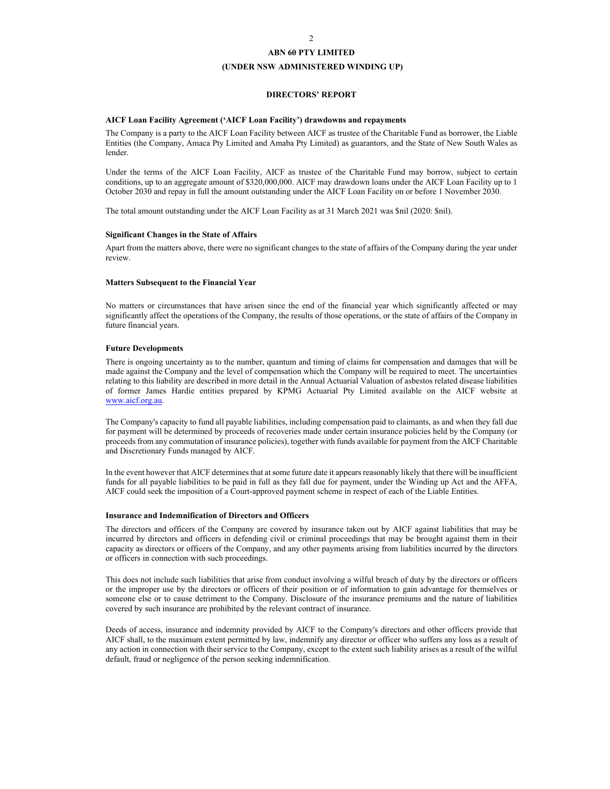## **ABN 60 PTY LIMITED (UNDER NSW ADMINISTERED WINDING UP)**

## **DIRECTORS' REPORT**

#### **AICF Loan Facility Agreement ('AICF Loan Facility') drawdowns and repayments**

The Company is a party to the AICF Loan Facility between AICF as trustee of the Charitable Fund as borrower, the Liable Entities (the Company, Amaca Pty Limited and Amaba Pty Limited) as guarantors, and the State of New South Wales as lender.

Under the terms of the AICF Loan Facility, AICF as trustee of the Charitable Fund may borrow, subject to certain conditions, up to an aggregate amount of \$320,000,000. AICF may drawdown loans under the AICF Loan Facility up to 1 October 2030 and repay in full the amount outstanding under the AICF Loan Facility on or before 1 November 2030.

The total amount outstanding under the AICF Loan Facility as at 31 March 2021 was \$nil (2020: \$nil).

### **Significant Changes in the State of Affairs**

Apart from the matters above, there were no significant changes to the state of affairs of the Company during the year under review.

#### **Matters Subsequent to the Financial Year**

No matters or circumstances that have arisen since the end of the financial year which significantly affected or may significantly affect the operations of the Company, the results of those operations, or the state of affairs of the Company in future financial years.

## **Future Developments**

There is ongoing uncertainty as to the number, quantum and timing of claims for compensation and damages that will be made against the Company and the level of compensation which the Company will be required to meet. The uncertainties relating to this liability are described in more detail in the Annual Actuarial Valuation of asbestos related disease liabilities of former James Hardie entities prepared by KPMG Actuarial Pty Limited available on the AICF website at www.aicf.org.au.

The Company's capacity to fund all payable liabilities, including compensation paid to claimants, as and when they fall due for payment will be determined by proceeds of recoveries made under certain insurance policies held by the Company (or proceeds from any commutation of insurance policies), together with funds available for payment from the AICF Charitable and Discretionary Funds managed by AICF.

In the event however that AICF determines that at some future date it appears reasonably likely that there will be insufficient funds for all payable liabilities to be paid in full as they fall due for payment, under the Winding up Act and the AFFA, AICF could seek the imposition of a Court-approved payment scheme in respect of each of the Liable Entities.

### **Insurance and Indemnification of Directors and Officers**

The directors and officers of the Company are covered by insurance taken out by AICF against liabilities that may be incurred by directors and officers in defending civil or criminal proceedings that may be brought against them in their capacity as directors or officers of the Company, and any other payments arising from liabilities incurred by the directors or officers in connection with such proceedings.

This does not include such liabilities that arise from conduct involving a wilful breach of duty by the directors or officers or the improper use by the directors or officers of their position or of information to gain advantage for themselves or someone else or to cause detriment to the Company. Disclosure of the insurance premiums and the nature of liabilities covered by such insurance are prohibited by the relevant contract of insurance.

Deeds of access, insurance and indemnity provided by AICF to the Company's directors and other officers provide that AICF shall, to the maximum extent permitted by law, indemnify any director or officer who suffers any loss as a result of any action in connection with their service to the Company, except to the extent such liability arises as a result of the wilful default, fraud or negligence of the person seeking indemnification.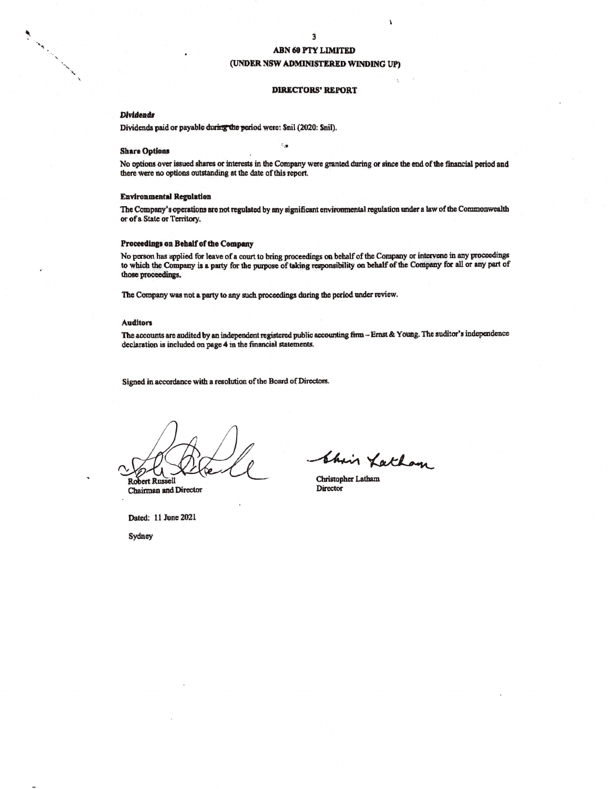## (UNDER NSW ADMINISTERED WINDING UP)

#### **DIRECTORS' REPORT**

### **Dividends**

All Concert of the Concert of the Concert of the Concert of the Concert of the Concert of the Concert of the Concert of the Concert of the Concert of the Concert of the Concert of the Concert of the Concert of the Concert

Dividends paid or payable during the period were: Snil (2020: Snil).

#### **Share Options**

No options over issued shares or interests in the Company were granted during or since the end of the financial period and there were no options outstanding at the date of this report.

្មែ

#### **Environmental Regulation**

The Company's operations are not regulated by any significant environmental regulation under a law of the Commonwealth or of a State or Territory.

#### Proceedings on Behalf of the Company

No person has applied for leave of a court to bring proceedings on behalf of the Company or intervene in any proceedings to which the Company is a party for the purpose of taking responsibility on behalf of the Company for all or any part of those proceedings.

The Company was not a party to any such proceedings during the period under review.

#### **Auditors**

The accounts are audited by an independent registered public accounting firm - Ernst & Young. The auditor's independence declaration is included on page 4 in the financial statements.

Signed in accordance with a resolution of the Board of Directors.

Robert Russell

Chairman and Director

Chair Latham

Christopher Latham **Director** 

Dated: 11 June 2021

Sydney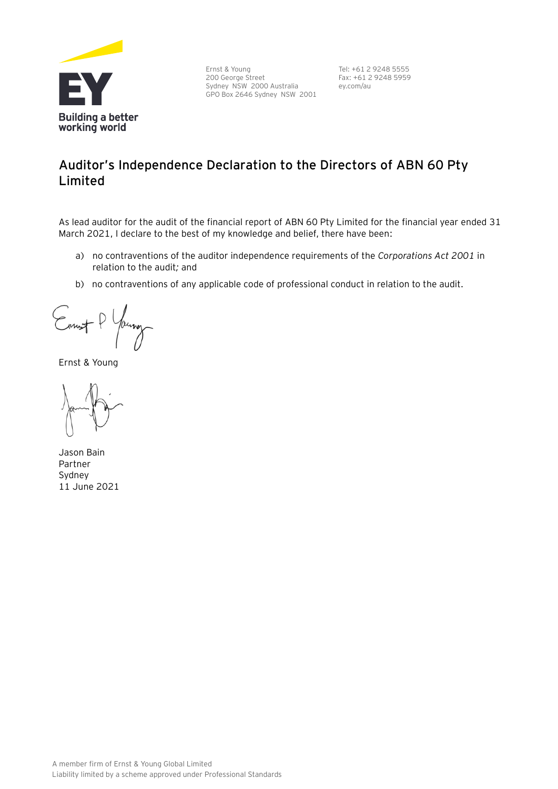

Ernst & Young 200 George Street Sydney NSW 2000 Australia GPO Box 2646 Sydney NSW 2001

Tel: +61 2 9248 5555 Fax: +61 2 9248 5959 ey.com/au

# **Auditor's Independence Declaration to the Directors of ABN 60 Pty Limited**

As lead auditor for the audit of the financial report of ABN 60 Pty Limited for the financial year ended 31 March 2021, I declare to the best of my knowledge and belief, there have been:

- a) no contraventions of the auditor independence requirements of the *Corporations Act 2001* in relation to the audit*;* and
- b) no contraventions of any applicable code of professional conduct in relation to the audit.

Ennest P

Ernst & Young

Jason Bain Partner Sydney 11 June 2021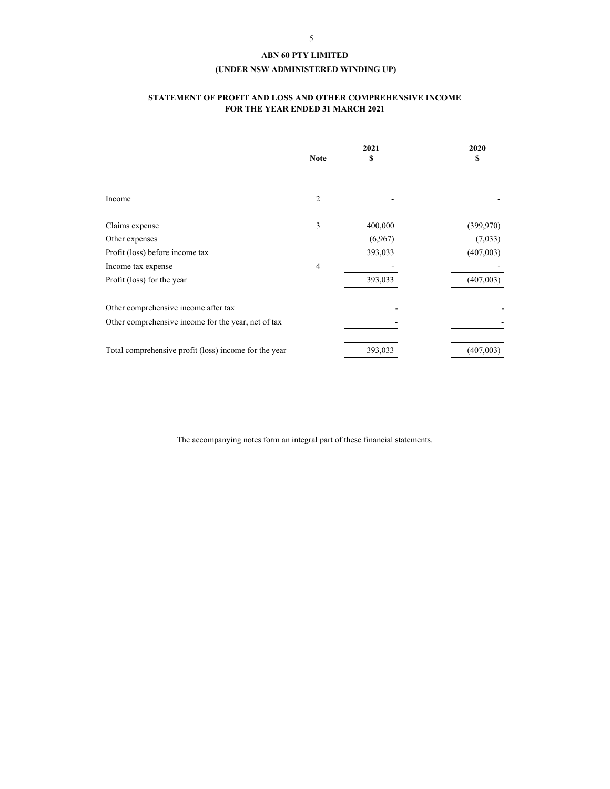## **(UNDER NSW ADMINISTERED WINDING UP)**

## **STATEMENT OF PROFIT AND LOSS AND OTHER COMPREHENSIVE INCOME FOR THE YEAR ENDED 31 MARCH 2021**

|                                                       | 2021        |         | 2020       |  |
|-------------------------------------------------------|-------------|---------|------------|--|
|                                                       | <b>Note</b> | S       | S          |  |
|                                                       |             |         |            |  |
| Income                                                | 2           |         |            |  |
| Claims expense                                        | 3           | 400,000 | (399, 970) |  |
| Other expenses                                        |             | (6,967) | (7,033)    |  |
| Profit (loss) before income tax                       |             | 393,033 | (407,003)  |  |
| Income tax expense                                    | 4           |         |            |  |
| Profit (loss) for the year                            |             | 393,033 | (407,003)  |  |
| Other comprehensive income after tax                  |             |         |            |  |
| Other comprehensive income for the year, net of tax   |             |         |            |  |
| Total comprehensive profit (loss) income for the year |             | 393,033 | (407,003)  |  |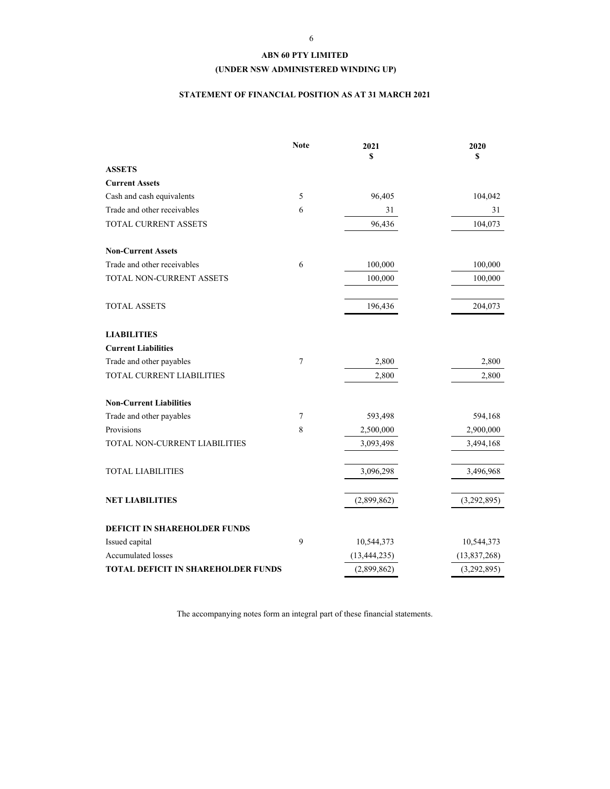## **(UNDER NSW ADMINISTERED WINDING UP)**

## **STATEMENT OF FINANCIAL POSITION AS AT 31 MARCH 2021**

|                                           | <b>Note</b> | 2021<br>S      | 2020<br>\$   |
|-------------------------------------------|-------------|----------------|--------------|
| <b>ASSETS</b>                             |             |                |              |
| <b>Current Assets</b>                     |             |                |              |
| Cash and cash equivalents                 | 5           | 96,405         | 104,042      |
| Trade and other receivables               | 6           | 31             | 31           |
| <b>TOTAL CURRENT ASSETS</b>               |             | 96,436         | 104,073      |
| <b>Non-Current Assets</b>                 |             |                |              |
| Trade and other receivables               | 6           | 100,000        | 100,000      |
| TOTAL NON-CURRENT ASSETS                  |             | 100,000        | 100,000      |
| <b>TOTAL ASSETS</b>                       |             | 196,436        | 204,073      |
| <b>LIABILITIES</b>                        |             |                |              |
| <b>Current Liabilities</b>                |             |                |              |
| Trade and other payables                  | 7           | 2,800          | 2,800        |
| TOTAL CURRENT LIABILITIES                 |             | 2,800          | 2,800        |
| <b>Non-Current Liabilities</b>            |             |                |              |
| Trade and other payables                  | $\tau$      | 593,498        | 594,168      |
| Provisions                                | 8           | 2,500,000      | 2,900,000    |
| TOTAL NON-CURRENT LIABILITIES             |             | 3,093,498      | 3,494,168    |
| <b>TOTAL LIABILITIES</b>                  |             | 3,096,298      | 3,496,968    |
| <b>NET LIABILITIES</b>                    |             | (2,899,862)    | (3,292,895)  |
| DEFICIT IN SHAREHOLDER FUNDS              |             |                |              |
| Issued capital                            | 9           | 10,544,373     | 10,544,373   |
| Accumulated losses                        |             | (13, 444, 235) | (13,837,268) |
| <b>TOTAL DEFICIT IN SHAREHOLDER FUNDS</b> |             | (2,899,862)    | (3,292,895)  |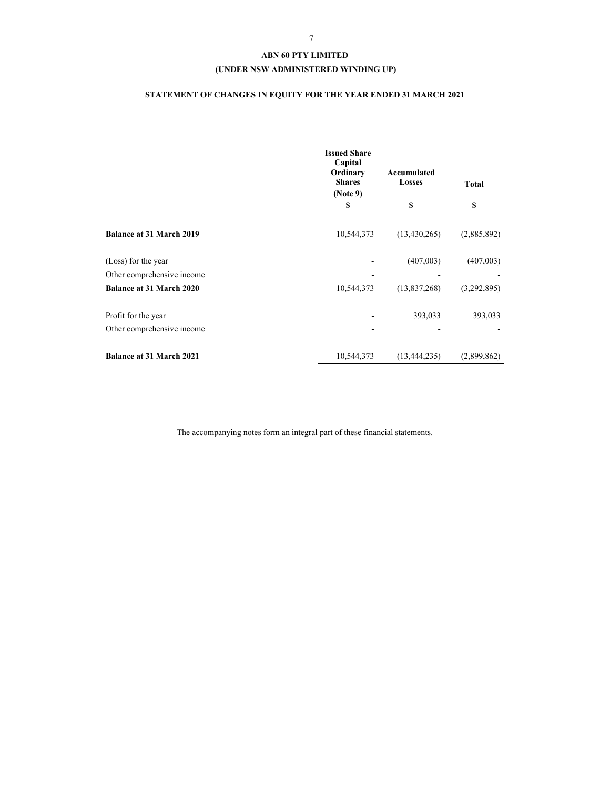## **(UNDER NSW ADMINISTERED WINDING UP)**

# **STATEMENT OF CHANGES IN EQUITY FOR THE YEAR ENDED 31 MARCH 2021**

|                                 | <b>Issued Share</b><br>Capital<br>Ordinary<br><b>Shares</b><br>(Note 9)<br>\$ | Accumulated<br><b>Losses</b><br>\$ | <b>Total</b><br>\$ |
|---------------------------------|-------------------------------------------------------------------------------|------------------------------------|--------------------|
|                                 |                                                                               |                                    |                    |
| <b>Balance at 31 March 2019</b> | 10,544,373                                                                    | (13, 430, 265)                     | (2,885,892)        |
| (Loss) for the year             |                                                                               | (407,003)                          | (407,003)          |
| Other comprehensive income      |                                                                               |                                    |                    |
| <b>Balance at 31 March 2020</b> | 10,544,373                                                                    | (13,837,268)                       | (3,292,895)        |
| Profit for the year             |                                                                               | 393,033                            | 393,033            |
| Other comprehensive income      |                                                                               |                                    |                    |
| <b>Balance at 31 March 2021</b> | 10,544,373                                                                    | (13, 444, 235)                     | (2,899,862)        |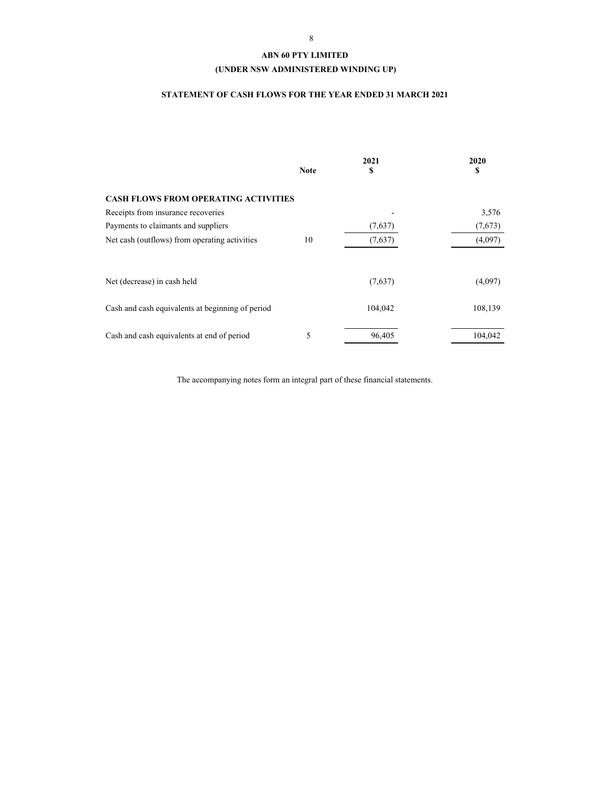## **(UNDER NSW ADMINISTERED WINDING UP)**

## **STATEMENT OF CASH FLOWS FOR THE YEAR ENDED 31 MARCH 2021**

|                                                  | <b>Note</b> | 2021<br>S | 2020<br>S |
|--------------------------------------------------|-------------|-----------|-----------|
| <b>CASH FLOWS FROM OPERATING ACTIVITIES</b>      |             |           |           |
| Receipts from insurance recoveries               |             |           | 3,576     |
| Payments to claimants and suppliers              |             | (7,637)   | (7,673)   |
| Net cash (outflows) from operating activities    | 10          | (7,637)   | (4,097)   |
|                                                  |             |           |           |
| Net (decrease) in cash held                      |             | (7,637)   | (4,097)   |
| Cash and cash equivalents at beginning of period |             | 104,042   | 108,139   |
| Cash and cash equivalents at end of period       | 5           | 96,405    | 104,042   |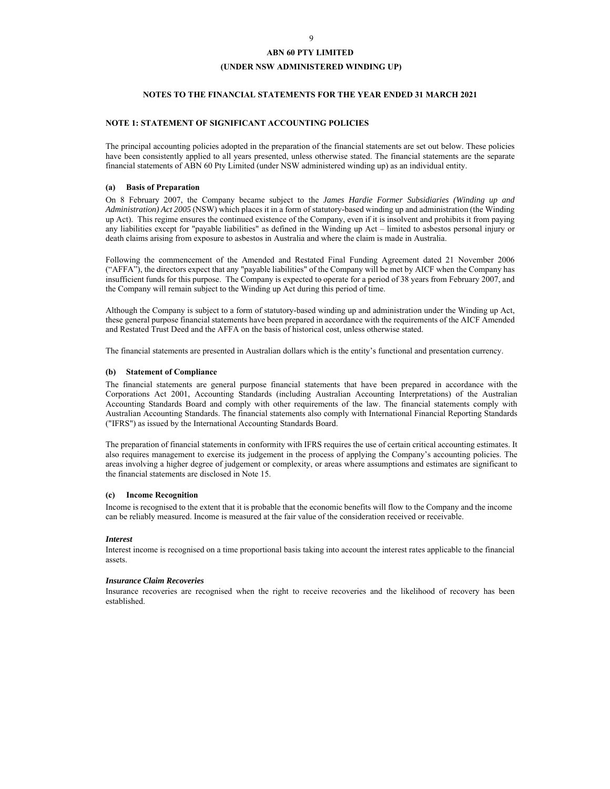## **(UNDER NSW ADMINISTERED WINDING UP)**

## **NOTES TO THE FINANCIAL STATEMENTS FOR THE YEAR ENDED 31 MARCH 2021**

## **NOTE 1: STATEMENT OF SIGNIFICANT ACCOUNTING POLICIES**

The principal accounting policies adopted in the preparation of the financial statements are set out below. These policies have been consistently applied to all years presented, unless otherwise stated. The financial statements are the separate financial statements of ABN 60 Pty Limited (under NSW administered winding up) as an individual entity.

### **(a) Basis of Preparation**

On 8 February 2007, the Company became subject to the *James Hardie Former Subsidiaries (Winding up and Administration) Act 2005* (NSW) which places it in a form of statutory-based winding up and administration (the Winding up Act). This regime ensures the continued existence of the Company, even if it is insolvent and prohibits it from paying any liabilities except for "payable liabilities" as defined in the Winding up Act – limited to asbestos personal injury or death claims arising from exposure to asbestos in Australia and where the claim is made in Australia.

Following the commencement of the Amended and Restated Final Funding Agreement dated 21 November 2006 ("AFFA"), the directors expect that any "payable liabilities" of the Company will be met by AICF when the Company has insufficient funds for this purpose. The Company is expected to operate for a period of 38 years from February 2007, and the Company will remain subject to the Winding up Act during this period of time.

Although the Company is subject to a form of statutory-based winding up and administration under the Winding up Act, these general purpose financial statements have been prepared in accordance with the requirements of the AICF Amended and Restated Trust Deed and the AFFA on the basis of historical cost, unless otherwise stated.

The financial statements are presented in Australian dollars which is the entity's functional and presentation currency.

#### **(b) Statement of Compliance**

The financial statements are general purpose financial statements that have been prepared in accordance with the Corporations Act 2001, Accounting Standards (including Australian Accounting Interpretations) of the Australian Accounting Standards Board and comply with other requirements of the law. The financial statements comply with Australian Accounting Standards. The financial statements also comply with International Financial Reporting Standards ("IFRS") as issued by the International Accounting Standards Board.

The preparation of financial statements in conformity with IFRS requires the use of certain critical accounting estimates. It also requires management to exercise its judgement in the process of applying the Company's accounting policies. The areas involving a higher degree of judgement or complexity, or areas where assumptions and estimates are significant to the financial statements are disclosed in Note 15.

#### **(c) Income Recognition**

Income is recognised to the extent that it is probable that the economic benefits will flow to the Company and the income can be reliably measured. Income is measured at the fair value of the consideration received or receivable.

#### *Interest*

Interest income is recognised on a time proportional basis taking into account the interest rates applicable to the financial assets.

#### *Insurance Claim Recoveries*

Insurance recoveries are recognised when the right to receive recoveries and the likelihood of recovery has been established.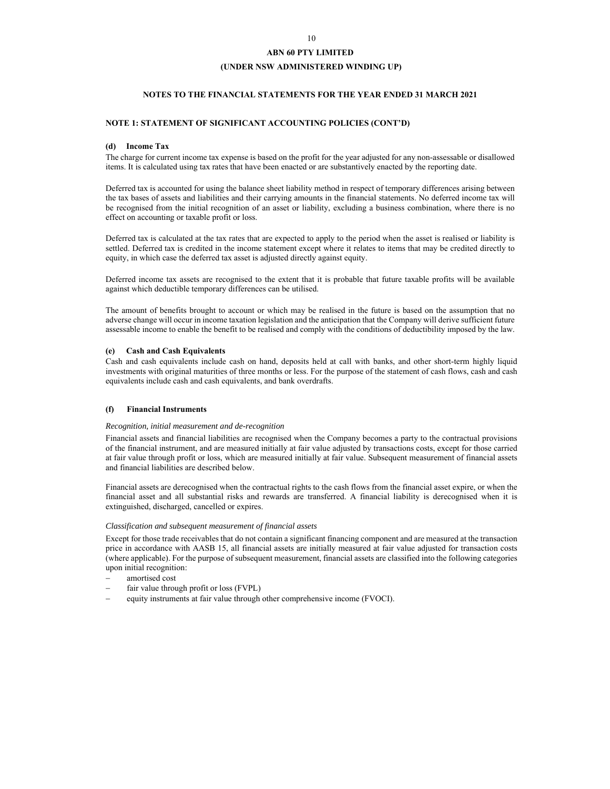## **(UNDER NSW ADMINISTERED WINDING UP)**

## **NOTES TO THE FINANCIAL STATEMENTS FOR THE YEAR ENDED 31 MARCH 2021**

### **NOTE 1: STATEMENT OF SIGNIFICANT ACCOUNTING POLICIES (CONT'D)**

#### **(d) Income Tax**

The charge for current income tax expense is based on the profit for the year adjusted for any non-assessable or disallowed items. It is calculated using tax rates that have been enacted or are substantively enacted by the reporting date.

Deferred tax is accounted for using the balance sheet liability method in respect of temporary differences arising between the tax bases of assets and liabilities and their carrying amounts in the financial statements. No deferred income tax will be recognised from the initial recognition of an asset or liability, excluding a business combination, where there is no effect on accounting or taxable profit or loss.

Deferred tax is calculated at the tax rates that are expected to apply to the period when the asset is realised or liability is settled. Deferred tax is credited in the income statement except where it relates to items that may be credited directly to equity, in which case the deferred tax asset is adjusted directly against equity.

Deferred income tax assets are recognised to the extent that it is probable that future taxable profits will be available against which deductible temporary differences can be utilised.

The amount of benefits brought to account or which may be realised in the future is based on the assumption that no adverse change will occur in income taxation legislation and the anticipation that the Company will derive sufficient future assessable income to enable the benefit to be realised and comply with the conditions of deductibility imposed by the law.

## **(e) Cash and Cash Equivalents**

Cash and cash equivalents include cash on hand, deposits held at call with banks, and other short-term highly liquid investments with original maturities of three months or less. For the purpose of the statement of cash flows, cash and cash equivalents include cash and cash equivalents, and bank overdrafts.

#### **(f) Financial Instruments**

#### *Recognition, initial measurement and de-recognition*

Financial assets and financial liabilities are recognised when the Company becomes a party to the contractual provisions of the financial instrument, and are measured initially at fair value adjusted by transactions costs, except for those carried at fair value through profit or loss, which are measured initially at fair value. Subsequent measurement of financial assets and financial liabilities are described below.

Financial assets are derecognised when the contractual rights to the cash flows from the financial asset expire, or when the financial asset and all substantial risks and rewards are transferred. A financial liability is derecognised when it is extinguished, discharged, cancelled or expires.

#### *Classification and subsequent measurement of financial assets*

Except for those trade receivables that do not contain a significant financing component and are measured at the transaction price in accordance with AASB 15, all financial assets are initially measured at fair value adjusted for transaction costs (where applicable). For the purpose of subsequent measurement, financial assets are classified into the following categories upon initial recognition:

- amortised cost
- fair value through profit or loss (FVPL)
- equity instruments at fair value through other comprehensive income (FVOCI).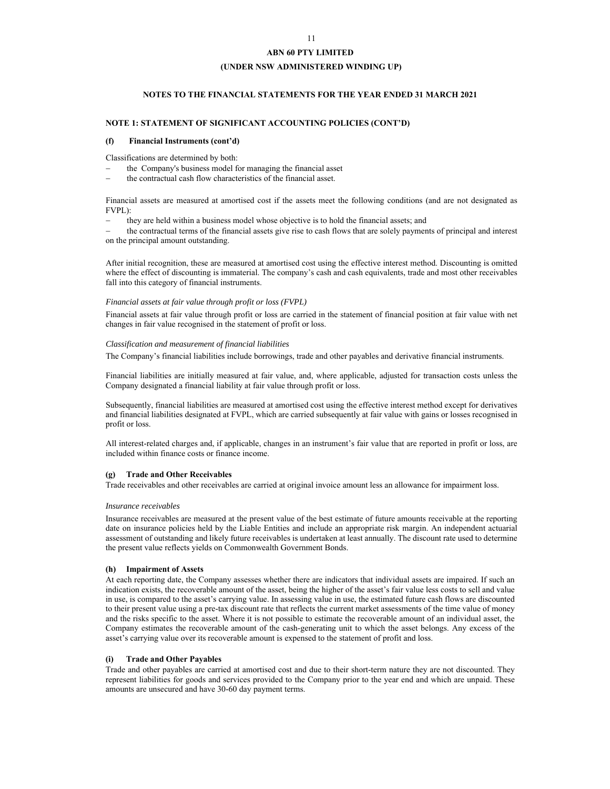## **(UNDER NSW ADMINISTERED WINDING UP)**

## **NOTES TO THE FINANCIAL STATEMENTS FOR THE YEAR ENDED 31 MARCH 2021**

## **NOTE 1: STATEMENT OF SIGNIFICANT ACCOUNTING POLICIES (CONT'D)**

#### **(f) Financial Instruments (cont'd)**

Classifications are determined by both:

- the Company's business model for managing the financial asset
- the contractual cash flow characteristics of the financial asset.

Financial assets are measured at amortised cost if the assets meet the following conditions (and are not designated as FVPL):

they are held within a business model whose objective is to hold the financial assets; and

 the contractual terms of the financial assets give rise to cash flows that are solely payments of principal and interest on the principal amount outstanding.

After initial recognition, these are measured at amortised cost using the effective interest method. Discounting is omitted where the effect of discounting is immaterial. The company's cash and cash equivalents, trade and most other receivables fall into this category of financial instruments.

#### *Financial assets at fair value through profit or loss (FVPL)*

Financial assets at fair value through profit or loss are carried in the statement of financial position at fair value with net changes in fair value recognised in the statement of profit or loss.

#### *Classification and measurement of financial liabilities*

The Company's financial liabilities include borrowings, trade and other payables and derivative financial instruments.

Financial liabilities are initially measured at fair value, and, where applicable, adjusted for transaction costs unless the Company designated a financial liability at fair value through profit or loss.

Subsequently, financial liabilities are measured at amortised cost using the effective interest method except for derivatives and financial liabilities designated at FVPL, which are carried subsequently at fair value with gains or losses recognised in profit or loss.

All interest-related charges and, if applicable, changes in an instrument's fair value that are reported in profit or loss, are included within finance costs or finance income.

### **(g) Trade and Other Receivables**

Trade receivables and other receivables are carried at original invoice amount less an allowance for impairment loss.

#### *Insurance receivables*

Insurance receivables are measured at the present value of the best estimate of future amounts receivable at the reporting date on insurance policies held by the Liable Entities and include an appropriate risk margin. An independent actuarial assessment of outstanding and likely future receivables is undertaken at least annually. The discount rate used to determine the present value reflects yields on Commonwealth Government Bonds.

#### **(h) Impairment of Assets**

At each reporting date, the Company assesses whether there are indicators that individual assets are impaired. If such an indication exists, the recoverable amount of the asset, being the higher of the asset's fair value less costs to sell and value in use, is compared to the asset's carrying value. In assessing value in use, the estimated future cash flows are discounted to their present value using a pre-tax discount rate that reflects the current market assessments of the time value of money and the risks specific to the asset. Where it is not possible to estimate the recoverable amount of an individual asset, the Company estimates the recoverable amount of the cash-generating unit to which the asset belongs. Any excess of the asset's carrying value over its recoverable amount is expensed to the statement of profit and loss.

#### **(i) Trade and Other Payables**

Trade and other payables are carried at amortised cost and due to their short-term nature they are not discounted. They represent liabilities for goods and services provided to the Company prior to the year end and which are unpaid. These amounts are unsecured and have 30-60 day payment terms.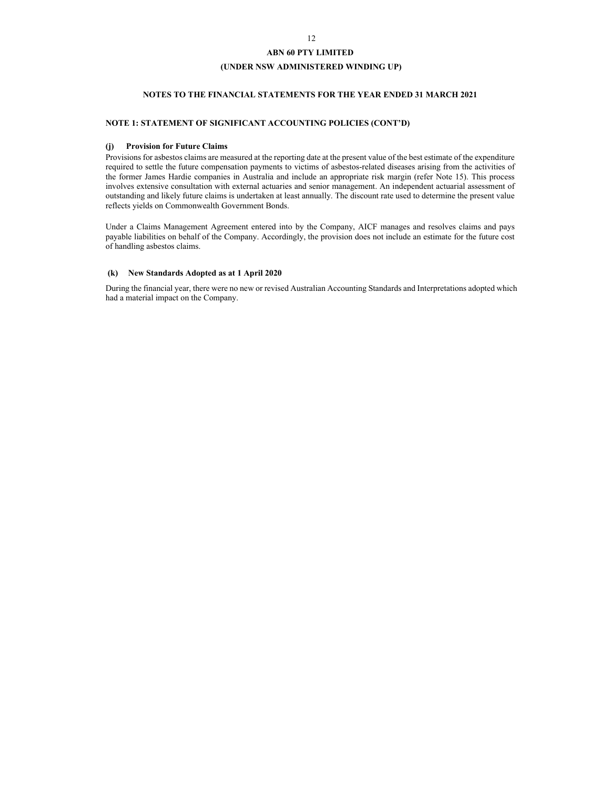## **(UNDER NSW ADMINISTERED WINDING UP)**

## **NOTES TO THE FINANCIAL STATEMENTS FOR THE YEAR ENDED 31 MARCH 2021**

## **NOTE 1: STATEMENT OF SIGNIFICANT ACCOUNTING POLICIES (CONT'D)**

### **(j) Provision for Future Claims**

Provisions for asbestos claims are measured at the reporting date at the present value of the best estimate of the expenditure required to settle the future compensation payments to victims of asbestos-related diseases arising from the activities of the former James Hardie companies in Australia and include an appropriate risk margin (refer Note 15). This process involves extensive consultation with external actuaries and senior management. An independent actuarial assessment of outstanding and likely future claims is undertaken at least annually. The discount rate used to determine the present value reflects yields on Commonwealth Government Bonds.

Under a Claims Management Agreement entered into by the Company, AICF manages and resolves claims and pays payable liabilities on behalf of the Company. Accordingly, the provision does not include an estimate for the future cost of handling asbestos claims.

### **(k) New Standards Adopted as at 1 April 2020**

During the financial year, there were no new or revised Australian Accounting Standards and Interpretations adopted which had a material impact on the Company.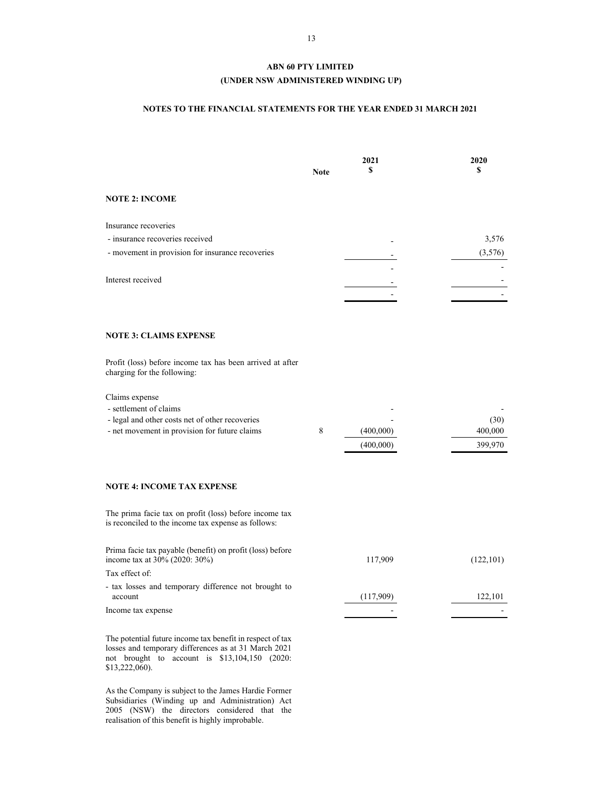## **(UNDER NSW ADMINISTERED WINDING UP)**

## **NOTES TO THE FINANCIAL STATEMENTS FOR THE YEAR ENDED 31 MARCH 2021**

|                                                                                                                                              | <b>Note</b> | 2021<br>S              | 2020<br>S                  |
|----------------------------------------------------------------------------------------------------------------------------------------------|-------------|------------------------|----------------------------|
| <b>NOTE 2: INCOME</b>                                                                                                                        |             |                        |                            |
| Insurance recoveries<br>- insurance recoveries received<br>- movement in provision for insurance recoveries<br>Interest received             |             |                        | 3,576<br>(3,576)           |
| <b>NOTE 3: CLAIMS EXPENSE</b>                                                                                                                |             |                        |                            |
| Profit (loss) before income tax has been arrived at after<br>charging for the following:                                                     |             |                        |                            |
| Claims expense<br>- settlement of claims<br>- legal and other costs net of other recoveries<br>- net movement in provision for future claims | 8           | (400,000)<br>(400,000) | (30)<br>400,000<br>399,970 |
| <b>NOTE 4: INCOME TAX EXPENSE</b>                                                                                                            |             |                        |                            |
| The prima facie tax on profit (loss) before income tax<br>is reconciled to the income tax expense as follows:                                |             |                        |                            |
| Prima facie tax payable (benefit) on profit (loss) before<br>income tax at 30% (2020: 30%)                                                   |             | 117,909                | (122, 101)                 |

Tax effect of:

- tax losses and temporary difference not brought to account (117,909) 122,101

Income tax expense  $\overline{\phantom{a}}$  -

The potential future income tax benefit in respect of tax losses and temporary differences as at 31 March 2021 not brought to account is \$13,104,150 (2020: \$13,222,060).

As the Company is subject to the James Hardie Former Subsidiaries (Winding up and Administration) Act 2005 (NSW) the directors considered that the realisation of this benefit is highly improbable.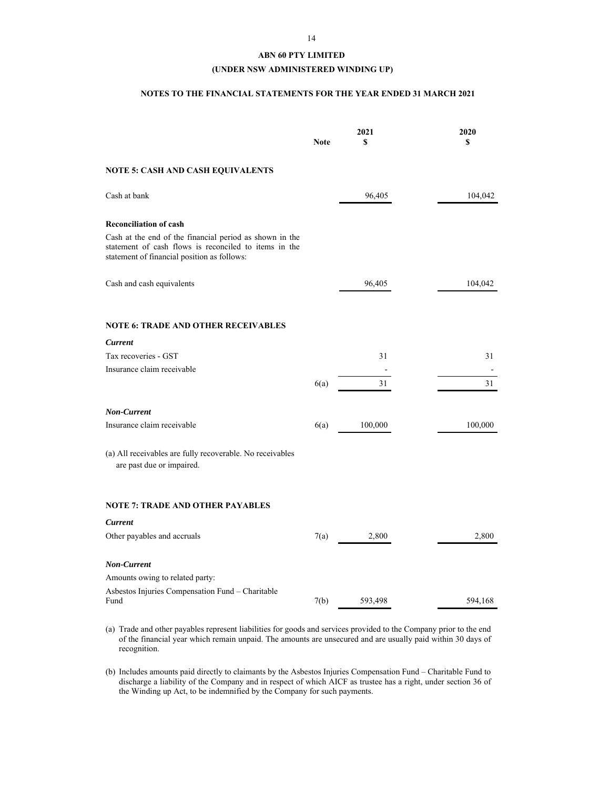## **(UNDER NSW ADMINISTERED WINDING UP)**

## **NOTES TO THE FINANCIAL STATEMENTS FOR THE YEAR ENDED 31 MARCH 2021**

|                                                                                                                                                                 | <b>Note</b> | 2021<br>\$ | 2020<br>\$ |
|-----------------------------------------------------------------------------------------------------------------------------------------------------------------|-------------|------------|------------|
| NOTE 5: CASH AND CASH EQUIVALENTS                                                                                                                               |             |            |            |
| Cash at bank                                                                                                                                                    |             | 96,405     | 104,042    |
| <b>Reconciliation of cash</b>                                                                                                                                   |             |            |            |
| Cash at the end of the financial period as shown in the<br>statement of cash flows is reconciled to items in the<br>statement of financial position as follows: |             |            |            |
| Cash and cash equivalents                                                                                                                                       |             | 96,405     | 104,042    |
| <b>NOTE 6: TRADE AND OTHER RECEIVABLES</b>                                                                                                                      |             |            |            |
| Current                                                                                                                                                         |             |            |            |
| Tax recoveries - GST                                                                                                                                            |             | 31         | 31         |
| Insurance claim receivable                                                                                                                                      |             |            |            |
|                                                                                                                                                                 | 6(a)        | 31         | 31         |
| Non-Current                                                                                                                                                     |             |            |            |
| Insurance claim receivable                                                                                                                                      | 6(a)        | 100,000    | 100,000    |
| (a) All receivables are fully recoverable. No receivables<br>are past due or impaired.                                                                          |             |            |            |
| <b>NOTE 7: TRADE AND OTHER PAYABLES</b>                                                                                                                         |             |            |            |
| <b>Current</b>                                                                                                                                                  |             |            |            |
| Other payables and accruals                                                                                                                                     | 7(a)        | 2,800      | 2,800      |
| Non-Current                                                                                                                                                     |             |            |            |
| Amounts owing to related party:                                                                                                                                 |             |            |            |
| Asbestos Injuries Compensation Fund - Charitable<br>Fund                                                                                                        | 7(b)        | 593,498    | 594,168    |

- (a) Trade and other payables represent liabilities for goods and services provided to the Company prior to the end of the financial year which remain unpaid. The amounts are unsecured and are usually paid within 30 days of recognition.
- (b) Includes amounts paid directly to claimants by the Asbestos Injuries Compensation Fund Charitable Fund to discharge a liability of the Company and in respect of which AICF as trustee has a right, under section 36 of the Winding up Act, to be indemnified by the Company for such payments.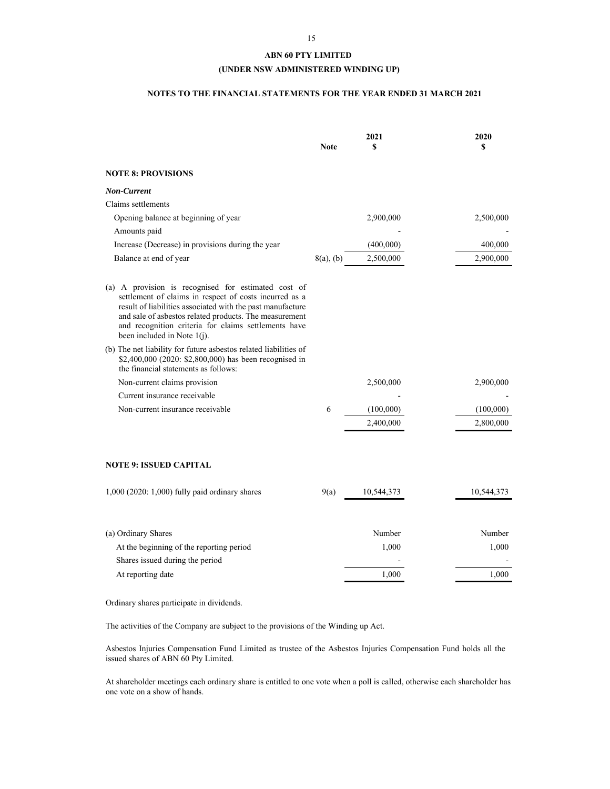## **(UNDER NSW ADMINISTERED WINDING UP)**

## **NOTES TO THE FINANCIAL STATEMENTS FOR THE YEAR ENDED 31 MARCH 2021**

|                                                                                                                                                                                                                                                                                                                                 | <b>Note</b>  | 2021<br>\$ | 2020<br>S  |
|---------------------------------------------------------------------------------------------------------------------------------------------------------------------------------------------------------------------------------------------------------------------------------------------------------------------------------|--------------|------------|------------|
| <b>NOTE 8: PROVISIONS</b>                                                                                                                                                                                                                                                                                                       |              |            |            |
| <b>Non-Current</b>                                                                                                                                                                                                                                                                                                              |              |            |            |
| Claims settlements                                                                                                                                                                                                                                                                                                              |              |            |            |
| Opening balance at beginning of year                                                                                                                                                                                                                                                                                            |              | 2,900,000  | 2,500,000  |
| Amounts paid                                                                                                                                                                                                                                                                                                                    |              |            |            |
| Increase (Decrease) in provisions during the year                                                                                                                                                                                                                                                                               |              | (400,000)  | 400,000    |
| Balance at end of year                                                                                                                                                                                                                                                                                                          | $8(a)$ , (b) | 2,500,000  | 2,900,000  |
| (a) A provision is recognised for estimated cost of<br>settlement of claims in respect of costs incurred as a<br>result of liabilities associated with the past manufacture<br>and sale of asbestos related products. The measurement<br>and recognition criteria for claims settlements have<br>been included in Note $1(i)$ . |              |            |            |
| (b) The net liability for future asbestos related liabilities of<br>\$2,400,000 (2020: \$2,800,000) has been recognised in<br>the financial statements as follows:                                                                                                                                                              |              |            |            |
| Non-current claims provision                                                                                                                                                                                                                                                                                                    |              | 2,500,000  | 2,900,000  |
| Current insurance receivable                                                                                                                                                                                                                                                                                                    |              |            |            |
| Non-current insurance receivable                                                                                                                                                                                                                                                                                                | 6            | (100,000)  | (100,000)  |
|                                                                                                                                                                                                                                                                                                                                 |              | 2,400,000  | 2,800,000  |
| <b>NOTE 9: ISSUED CAPITAL</b>                                                                                                                                                                                                                                                                                                   |              |            |            |
| 1,000 (2020: 1,000) fully paid ordinary shares                                                                                                                                                                                                                                                                                  | 9(a)         | 10,544,373 | 10,544,373 |
| (a) Ordinary Shares                                                                                                                                                                                                                                                                                                             |              | Number     | Number     |
| At the beginning of the reporting period                                                                                                                                                                                                                                                                                        |              | 1,000      | 1,000      |
| Shares issued during the period                                                                                                                                                                                                                                                                                                 |              |            |            |
| At reporting date                                                                                                                                                                                                                                                                                                               |              | 1,000      | 1,000      |
|                                                                                                                                                                                                                                                                                                                                 |              |            |            |

Ordinary shares participate in dividends.

The activities of the Company are subject to the provisions of the Winding up Act.

Asbestos Injuries Compensation Fund Limited as trustee of the Asbestos Injuries Compensation Fund holds all the issued shares of ABN 60 Pty Limited.

At shareholder meetings each ordinary share is entitled to one vote when a poll is called, otherwise each shareholder has one vote on a show of hands.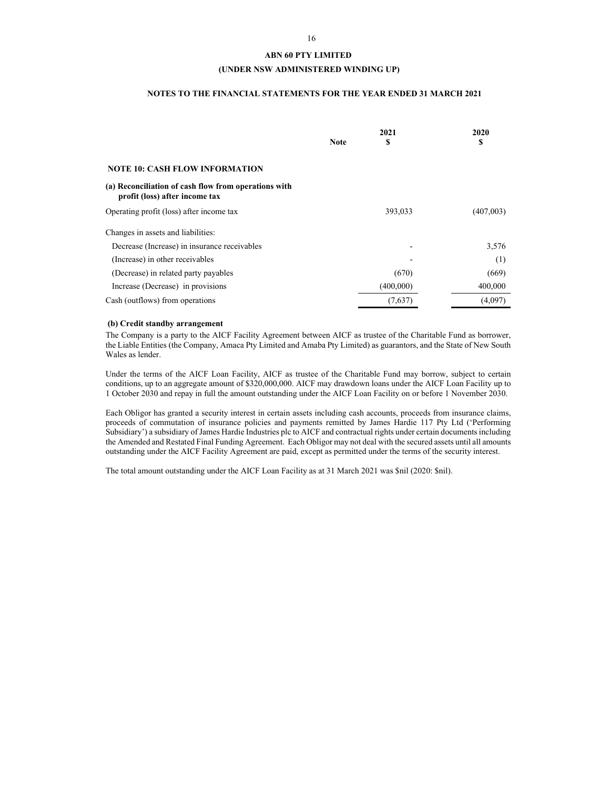### **(UNDER NSW ADMINISTERED WINDING UP)**

## **NOTES TO THE FINANCIAL STATEMENTS FOR THE YEAR ENDED 31 MARCH 2021**

|                                                                                        | <b>Note</b> | 2021<br>\$ | 2020<br>\$ |
|----------------------------------------------------------------------------------------|-------------|------------|------------|
| <b>NOTE 10: CASH FLOW INFORMATION</b>                                                  |             |            |            |
| (a) Reconciliation of cash flow from operations with<br>profit (loss) after income tax |             |            |            |
| Operating profit (loss) after income tax                                               |             | 393,033    | (407,003)  |
| Changes in assets and liabilities:                                                     |             |            |            |
| Decrease (Increase) in insurance receivables                                           |             | -          | 3,576      |
| (Increase) in other receivables                                                        |             |            | (1)        |
| (Decrease) in related party payables                                                   |             | (670)      | (669)      |
| Increase (Decrease) in provisions                                                      |             | (400,000)  | 400,000    |
| Cash (outflows) from operations                                                        |             | (7,637)    | (4,097)    |

## **(b) Credit standby arrangement**

The Company is a party to the AICF Facility Agreement between AICF as trustee of the Charitable Fund as borrower, the Liable Entities (the Company, Amaca Pty Limited and Amaba Pty Limited) as guarantors, and the State of New South Wales as lender.

Under the terms of the AICF Loan Facility, AICF as trustee of the Charitable Fund may borrow, subject to certain conditions, up to an aggregate amount of \$320,000,000. AICF may drawdown loans under the AICF Loan Facility up to 1 October 2030 and repay in full the amount outstanding under the AICF Loan Facility on or before 1 November 2030.

Each Obligor has granted a security interest in certain assets including cash accounts, proceeds from insurance claims, proceeds of commutation of insurance policies and payments remitted by James Hardie 117 Pty Ltd ('Performing Subsidiary') a subsidiary of James Hardie Industries plc to AICF and contractual rights under certain documents including the Amended and Restated Final Funding Agreement. Each Obligor may not deal with the secured assets until all amounts outstanding under the AICF Facility Agreement are paid, except as permitted under the terms of the security interest.

The total amount outstanding under the AICF Loan Facility as at 31 March 2021 was \$nil (2020: \$nil).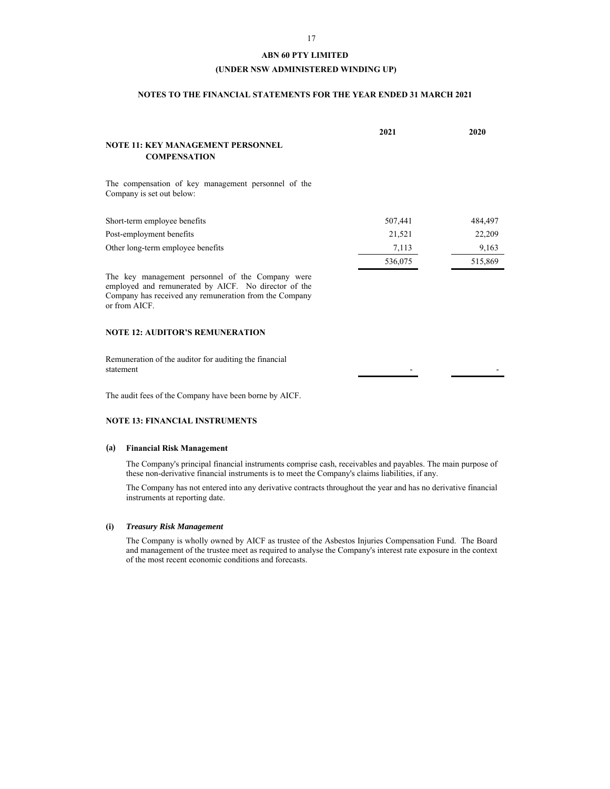## **(UNDER NSW ADMINISTERED WINDING UP)**

## **NOTES TO THE FINANCIAL STATEMENTS FOR THE YEAR ENDED 31 MARCH 2021**

|                                                                                                                                                                                     | 2021    | 2020    |
|-------------------------------------------------------------------------------------------------------------------------------------------------------------------------------------|---------|---------|
| NOTE 11: KEY MANAGEMENT PERSONNEL                                                                                                                                                   |         |         |
| <b>COMPENSATION</b>                                                                                                                                                                 |         |         |
| The compensation of key management personnel of the<br>Company is set out below:                                                                                                    |         |         |
| Short-term employee benefits                                                                                                                                                        | 507,441 | 484,497 |
| Post-employment benefits                                                                                                                                                            | 21,521  | 22,209  |
| Other long-term employee benefits                                                                                                                                                   | 7,113   | 9,163   |
|                                                                                                                                                                                     | 536,075 | 515,869 |
| The key management personnel of the Company were<br>employed and remunerated by AICF. No director of the<br>Company has received any remuneration from the Company<br>or from AICF. |         |         |

## **NOTE 12: AUDITOR'S REMUNERATION**

Remuneration of the auditor for auditing the financial statement - -

The audit fees of the Company have been borne by AICF.

#### **NOTE 13: FINANCIAL INSTRUMENTS**

### **(a) Financial Risk Management**

The Company's principal financial instruments comprise cash, receivables and payables. The main purpose of these non-derivative financial instruments is to meet the Company's claims liabilities, if any.

The Company has not entered into any derivative contracts throughout the year and has no derivative financial instruments at reporting date.

### **(i)** *Treasury Risk Management*

The Company is wholly owned by AICF as trustee of the Asbestos Injuries Compensation Fund. The Board and management of the trustee meet as required to analyse the Company's interest rate exposure in the context of the most recent economic conditions and forecasts.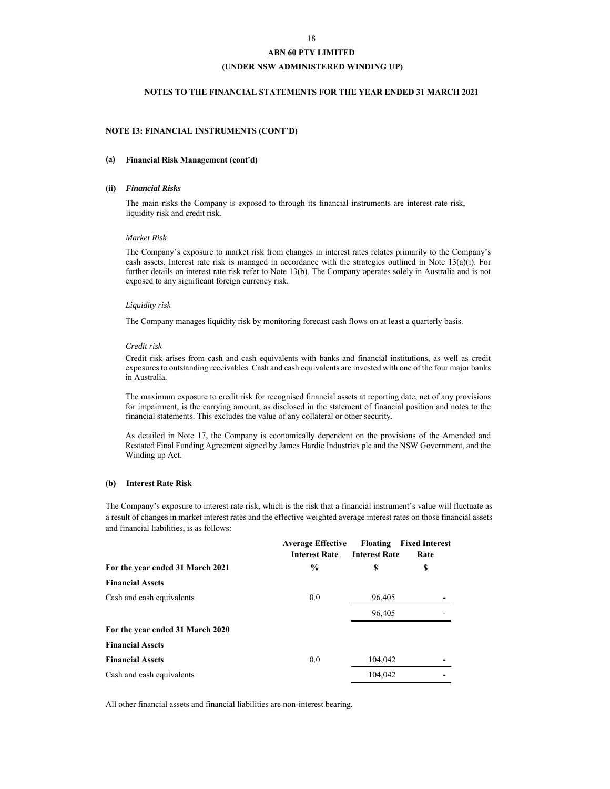## **(UNDER NSW ADMINISTERED WINDING UP)**

## **NOTES TO THE FINANCIAL STATEMENTS FOR THE YEAR ENDED 31 MARCH 2021**

## **NOTE 13: FINANCIAL INSTRUMENTS (CONT'D)**

#### **(a) Financial Risk Management (cont'd)**

#### **(ii)** *Financial Risks*

The main risks the Company is exposed to through its financial instruments are interest rate risk, liquidity risk and credit risk.

#### *Market Risk*

The Company's exposure to market risk from changes in interest rates relates primarily to the Company's cash assets. Interest rate risk is managed in accordance with the strategies outlined in Note 13(a)(i). For further details on interest rate risk refer to Note 13(b). The Company operates solely in Australia and is not exposed to any significant foreign currency risk.

#### *Liquidity risk*

The Company manages liquidity risk by monitoring forecast cash flows on at least a quarterly basis.

### *Credit risk*

Credit risk arises from cash and cash equivalents with banks and financial institutions, as well as credit exposures to outstanding receivables. Cash and cash equivalents are invested with one of the four major banks in Australia.

The maximum exposure to credit risk for recognised financial assets at reporting date, net of any provisions for impairment, is the carrying amount, as disclosed in the statement of financial position and notes to the financial statements. This excludes the value of any collateral or other security.

As detailed in Note 17, the Company is economically dependent on the provisions of the Amended and Restated Final Funding Agreement signed by James Hardie Industries plc and the NSW Government, and the Winding up Act.

#### **(b) Interest Rate Risk**

The Company's exposure to interest rate risk, which is the risk that a financial instrument's value will fluctuate as a result of changes in market interest rates and the effective weighted average interest rates on those financial assets and financial liabilities, is as follows:

|                                  | <b>Average Effective</b><br><b>Interest Rate</b> | Floating<br><b>Interest Rate</b> | <b>Fixed Interest</b><br>Rate |
|----------------------------------|--------------------------------------------------|----------------------------------|-------------------------------|
| For the year ended 31 March 2021 | $\frac{0}{0}$                                    | \$                               | \$                            |
| <b>Financial Assets</b>          |                                                  |                                  |                               |
| Cash and cash equivalents        | 0.0                                              | 96,405                           |                               |
|                                  |                                                  | 96,405                           |                               |
| For the year ended 31 March 2020 |                                                  |                                  |                               |
| <b>Financial Assets</b>          |                                                  |                                  |                               |
| <b>Financial Assets</b>          | 0.0                                              | 104,042                          |                               |
| Cash and cash equivalents        |                                                  | 104,042                          |                               |
|                                  |                                                  |                                  |                               |

All other financial assets and financial liabilities are non-interest bearing.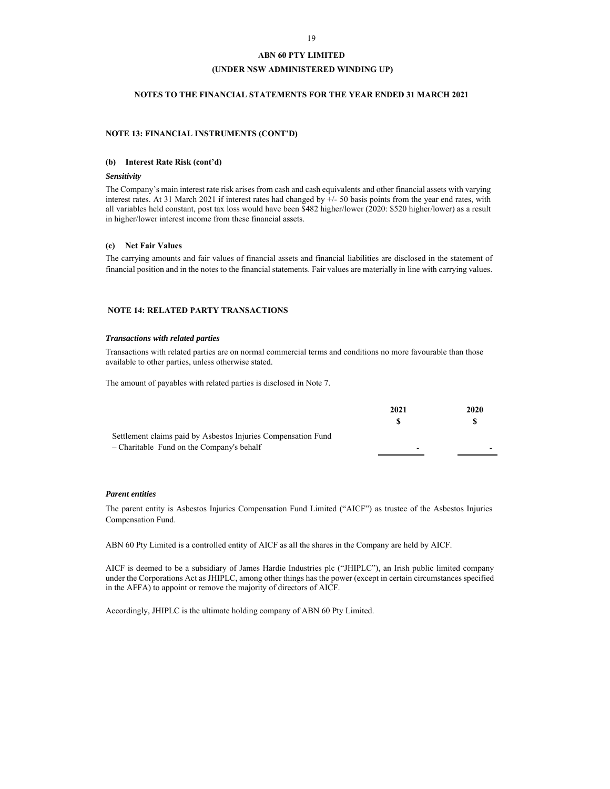## **(UNDER NSW ADMINISTERED WINDING UP)**

## **NOTES TO THE FINANCIAL STATEMENTS FOR THE YEAR ENDED 31 MARCH 2021**

## **NOTE 13: FINANCIAL INSTRUMENTS (CONT'D)**

### **(b) Interest Rate Risk (cont'd)**

#### *Sensitivity*

The Company's main interest rate risk arises from cash and cash equivalents and other financial assets with varying interest rates. At 31 March 2021 if interest rates had changed by  $+/-50$  basis points from the year end rates, with all variables held constant, post tax loss would have been \$482 higher/lower (2020: \$520 higher/lower) as a result in higher/lower interest income from these financial assets.

## **(c) Net Fair Values**

The carrying amounts and fair values of financial assets and financial liabilities are disclosed in the statement of financial position and in the notes to the financial statements. Fair values are materially in line with carrying values.

## **NOTE 14: RELATED PARTY TRANSACTIONS**

#### *Transactions with related parties*

Transactions with related parties are on normal commercial terms and conditions no more favourable than those available to other parties, unless otherwise stated.

The amount of payables with related parties is disclosed in Note 7.

|                                                               | 2021 | 2020 |
|---------------------------------------------------------------|------|------|
|                                                               |      |      |
| Settlement claims paid by Asbestos Injuries Compensation Fund |      |      |
| - Charitable Fund on the Company's behalf                     |      |      |

#### *Parent entities*

The parent entity is Asbestos Injuries Compensation Fund Limited ("AICF") as trustee of the Asbestos Injuries Compensation Fund.

ABN 60 Pty Limited is a controlled entity of AICF as all the shares in the Company are held by AICF.

AICF is deemed to be a subsidiary of James Hardie Industries plc ("JHIPLC"), an Irish public limited company under the Corporations Act as JHIPLC, among other things has the power (except in certain circumstances specified in the AFFA) to appoint or remove the majority of directors of AICF.

Accordingly, JHIPLC is the ultimate holding company of ABN 60 Pty Limited.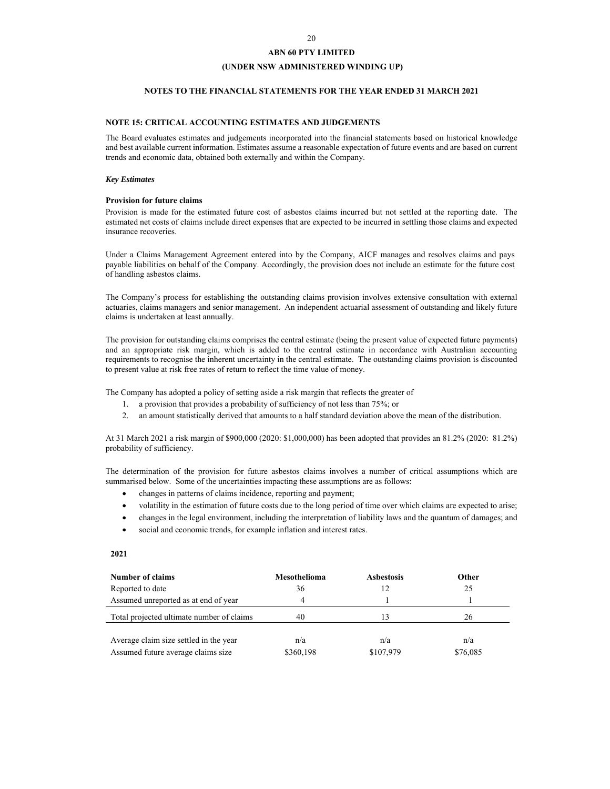## **(UNDER NSW ADMINISTERED WINDING UP)**

### **NOTES TO THE FINANCIAL STATEMENTS FOR THE YEAR ENDED 31 MARCH 2021**

## **NOTE 15: CRITICAL ACCOUNTING ESTIMATES AND JUDGEMENTS**

The Board evaluates estimates and judgements incorporated into the financial statements based on historical knowledge and best available current information. Estimates assume a reasonable expectation of future events and are based on current trends and economic data, obtained both externally and within the Company.

## *Key Estimates*

#### **Provision for future claims**

Provision is made for the estimated future cost of asbestos claims incurred but not settled at the reporting date. The estimated net costs of claims include direct expenses that are expected to be incurred in settling those claims and expected insurance recoveries.

Under a Claims Management Agreement entered into by the Company, AICF manages and resolves claims and pays payable liabilities on behalf of the Company. Accordingly, the provision does not include an estimate for the future cost of handling asbestos claims.

The Company's process for establishing the outstanding claims provision involves extensive consultation with external actuaries, claims managers and senior management. An independent actuarial assessment of outstanding and likely future claims is undertaken at least annually.

The provision for outstanding claims comprises the central estimate (being the present value of expected future payments) and an appropriate risk margin, which is added to the central estimate in accordance with Australian accounting requirements to recognise the inherent uncertainty in the central estimate. The outstanding claims provision is discounted to present value at risk free rates of return to reflect the time value of money.

The Company has adopted a policy of setting aside a risk margin that reflects the greater of

- 1. a provision that provides a probability of sufficiency of not less than 75%; or
- 2. an amount statistically derived that amounts to a half standard deviation above the mean of the distribution.

At 31 March 2021 a risk margin of \$900,000 (2020: \$1,000,000) has been adopted that provides an 81.2% (2020: 81.2%) probability of sufficiency.

The determination of the provision for future asbestos claims involves a number of critical assumptions which are summarised below. Some of the uncertainties impacting these assumptions are as follows:

- changes in patterns of claims incidence, reporting and payment;
- volatility in the estimation of future costs due to the long period of time over which claims are expected to arise;
- changes in the legal environment, including the interpretation of liability laws and the quantum of damages; and
- social and economic trends, for example inflation and interest rates.

## **2021**

| <b>Number of claims</b>                   | Mesothelioma | <b>Asbestosis</b> | Other    |
|-------------------------------------------|--------------|-------------------|----------|
| Reported to date                          | 36           | 12                | 25       |
| Assumed unreported as at end of year      | 4            |                   |          |
| Total projected ultimate number of claims | 40           | 13                | 26       |
|                                           |              |                   |          |
| Average claim size settled in the year    | n/a          | n/a               | n/a      |
| Assumed future average claims size        | \$360,198    | \$107,979         | \$76,085 |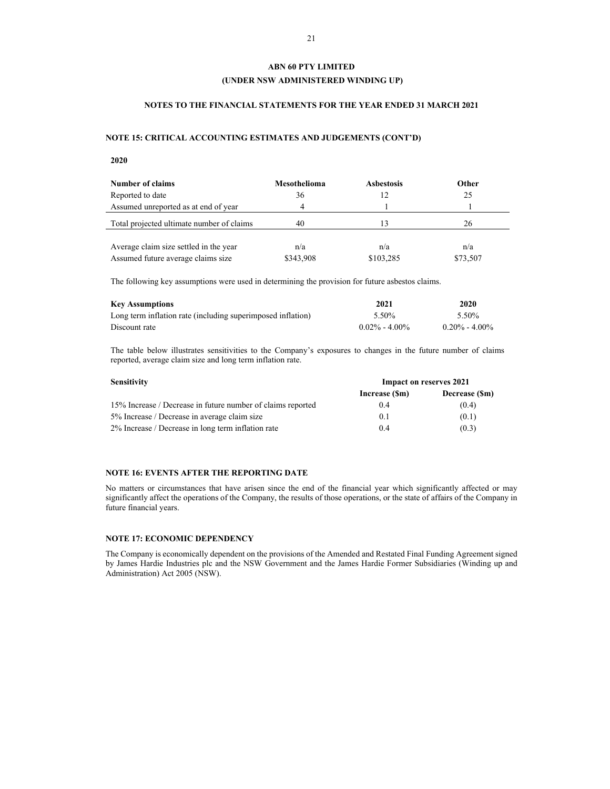## **(UNDER NSW ADMINISTERED WINDING UP)**

## **NOTES TO THE FINANCIAL STATEMENTS FOR THE YEAR ENDED 31 MARCH 2021**

## **NOTE 15: CRITICAL ACCOUNTING ESTIMATES AND JUDGEMENTS (CONT'D)**

**2020** 

| <b>Number of claims</b>                   | Mesothelioma | <b>Asbestosis</b> | <b>Other</b> |
|-------------------------------------------|--------------|-------------------|--------------|
| Reported to date                          | 36           |                   | 25           |
| Assumed unreported as at end of year      | 4            |                   |              |
| Total projected ultimate number of claims | 40           |                   | 26           |
|                                           |              |                   |              |
| Average claim size settled in the year    | n/a          | n/a               | n/a          |
| Assumed future average claims size        | \$343,908    | \$103.285         | \$73,507     |

The following key assumptions were used in determining the provision for future asbestos claims.

| <b>Key Assumptions</b>                                      | 2021              | 2020              |
|-------------------------------------------------------------|-------------------|-------------------|
| Long term inflation rate (including superimposed inflation) | 5.50%             | 5.50%             |
| Discount rate                                               | $0.02\% - 4.00\%$ | $0.20\% - 4.00\%$ |

The table below illustrates sensitivities to the Company's exposures to changes in the future number of claims reported, average claim size and long term inflation rate.

| <b>Sensitivity</b>                                          | <b>Impact on reserves 2021</b> |               |
|-------------------------------------------------------------|--------------------------------|---------------|
|                                                             | Increase (Sm)                  | Decrease (Sm) |
| 15% Increase / Decrease in future number of claims reported | 0.4                            | (0.4)         |
| 5% Increase / Decrease in average claim size                | 0.1                            | (0.1)         |
| 2% Increase / Decrease in long term inflation rate          | 0.4                            | (0.3)         |

## **NOTE 16: EVENTS AFTER THE REPORTING DATE**

No matters or circumstances that have arisen since the end of the financial year which significantly affected or may significantly affect the operations of the Company, the results of those operations, or the state of affairs of the Company in future financial years.

## **NOTE 17: ECONOMIC DEPENDENCY**

The Company is economically dependent on the provisions of the Amended and Restated Final Funding Agreement signed by James Hardie Industries plc and the NSW Government and the James Hardie Former Subsidiaries (Winding up and Administration) Act 2005 (NSW).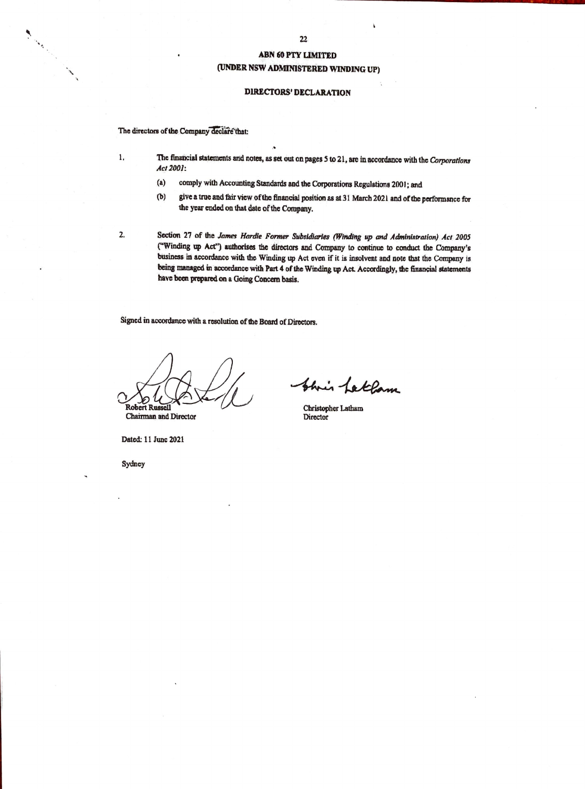## **ABN 60 PTY LIMITED** (UNDER NSW ADMINISTERED WINDING UP)

## **DIRECTORS' DECLARATION**

The directors of the Company declare that:

1,

2.

Charles Construction

- The financial statements and notes, as set out on pages 5 to 21, are in accordance with the Corporations Act 2001:
	- $(a)$ comply with Accounting Standards and the Corporations Regulations 2001; and
	- give a true and fair view of the financial position as at 31 March 2021 and of the performance for  $(b)$ the year ended on that date of the Company.
- Section 27 of the James Hardie Former Subsidiaries (Winding up and Administration) Act 2005 ("Winding up Act") authorises the directors and Company to continue to conduct the Company's business in accordance with the Winding up Act even if it is insolvent and note that the Company is being managed in accordance with Part 4 of the Winding up Act. Accordingly, the financial statements have been prepared on a Going Concern basis.

Signed in accordance with a resolution of the Board of Directors.

Robert Ru Chairman and Director

Shrin Latham

Christopher Latham **Director** 

Dated: 11 June 2021

Sydney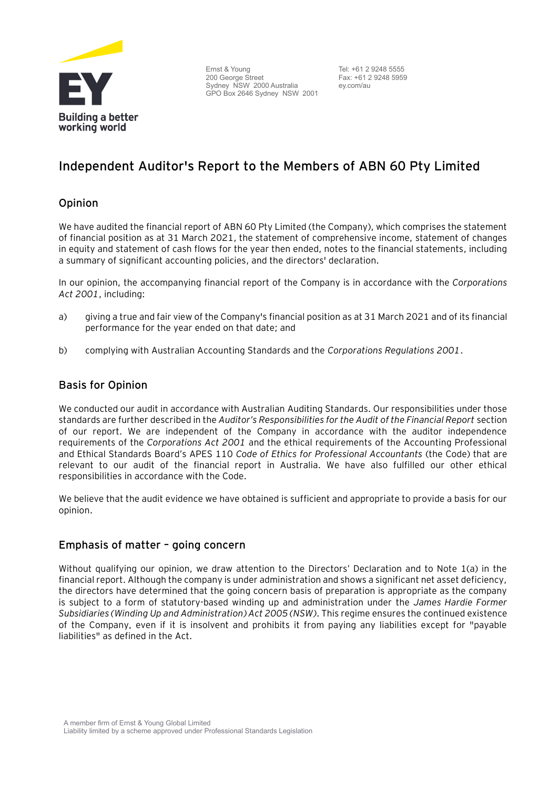

Ernst & Young 200 George Street Sydney NSW 2000 Australia GPO Box 2646 Sydney NSW 2001

Tel: +61 2 9248 5555 Fax: +61 2 9248 5959 ey.com/au

# **Independent Auditor's Report to the Members of ABN 60 Pty Limited**

# Opinion

We have audited the financial report of ABN 60 Pty Limited (the Company), which comprises the statement of financial position as at 31 March 2021, the statement of comprehensive income, statement of changes in equity and statement of cash flows for the year then ended, notes to the financial statements, including a summary of significant accounting policies, and the directors' declaration.

In our opinion, the accompanying financial report of the Company is in accordance with the *Corporations Act 2001*, including:

- a) giving a true and fair view of the Company's financial position as at 31 March 2021 and of its financial performance for the year ended on that date; and
- b) complying with Australian Accounting Standards and the *Corporations Regulations 2001*.

# Basis for Opinion

We conducted our audit in accordance with Australian Auditing Standards. Our responsibilities under those standards are further described in the *Auditor's Responsibilities for the Audit of the Financial Report* section of our report. We are independent of the Company in accordance with the auditor independence requirements of the *Corporations Act 2001* and the ethical requirements of the Accounting Professional and Ethical Standards Board's APES 110 *Code of Ethics for Professional Accountants* (the Code) that are relevant to our audit of the financial report in Australia. We have also fulfilled our other ethical responsibilities in accordance with the Code.

We believe that the audit evidence we have obtained is sufficient and appropriate to provide a basis for our opinion.

## Emphasis of matter – going concern

Without qualifying our opinion, we draw attention to the Directors' Declaration and to Note 1(a) in the financial report. Although the company is under administration and shows a significant net asset deficiency, the directors have determined that the going concern basis of preparation is appropriate as the company is subject to a form of statutory-based winding up and administration under the *James Hardie Former Subsidiaries (Winding Up and Administration) Act 2005 (NSW)*. This regime ensures the continued existence of the Company, even if it is insolvent and prohibits it from paying any liabilities except for "payable liabilities" as defined in the Act.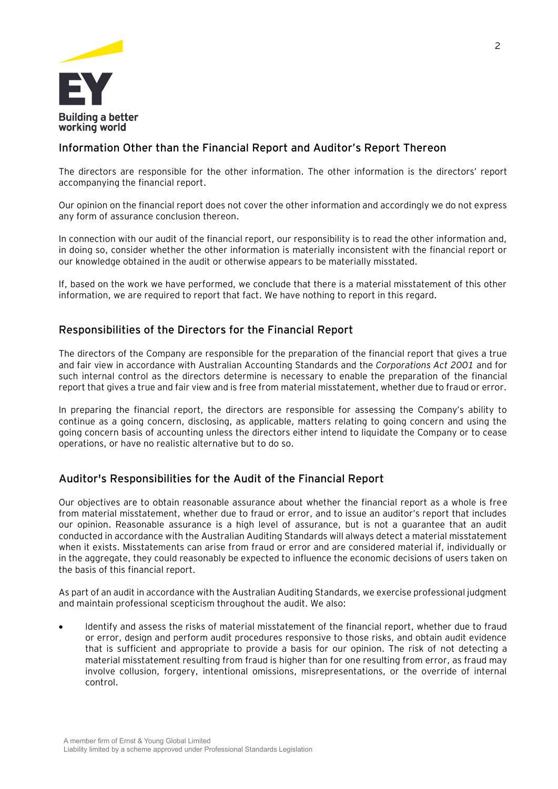

# Information Other than the Financial Report and Auditor's Report Thereon

The directors are responsible for the other information. The other information is the directors' report accompanying the financial report.

Our opinion on the financial report does not cover the other information and accordingly we do not express any form of assurance conclusion thereon.

In connection with our audit of the financial report, our responsibility is to read the other information and, in doing so, consider whether the other information is materially inconsistent with the financial report or our knowledge obtained in the audit or otherwise appears to be materially misstated.

If, based on the work we have performed, we conclude that there is a material misstatement of this other information, we are required to report that fact. We have nothing to report in this regard.

# Responsibilities of the Directors for the Financial Report

The directors of the Company are responsible for the preparation of the financial report that gives a true and fair view in accordance with Australian Accounting Standards and the *Corporations Act 2001* and for such internal control as the directors determine is necessary to enable the preparation of the financial report that gives a true and fair view and is free from material misstatement, whether due to fraud or error.

In preparing the financial report, the directors are responsible for assessing the Company's ability to continue as a going concern, disclosing, as applicable, matters relating to going concern and using the going concern basis of accounting unless the directors either intend to liquidate the Company or to cease operations, or have no realistic alternative but to do so.

# Auditor's Responsibilities for the Audit of the Financial Report

Our objectives are to obtain reasonable assurance about whether the financial report as a whole is free from material misstatement, whether due to fraud or error, and to issue an auditor's report that includes our opinion. Reasonable assurance is a high level of assurance, but is not a guarantee that an audit conducted in accordance with the Australian Auditing Standards will always detect a material misstatement when it exists. Misstatements can arise from fraud or error and are considered material if, individually or in the aggregate, they could reasonably be expected to influence the economic decisions of users taken on the basis of this financial report.

As part of an audit in accordance with the Australian Auditing Standards, we exercise professional judgment and maintain professional scepticism throughout the audit. We also:

• Identify and assess the risks of material misstatement of the financial report, whether due to fraud or error, design and perform audit procedures responsive to those risks, and obtain audit evidence that is sufficient and appropriate to provide a basis for our opinion. The risk of not detecting a material misstatement resulting from fraud is higher than for one resulting from error, as fraud may involve collusion, forgery, intentional omissions, misrepresentations, or the override of internal control.